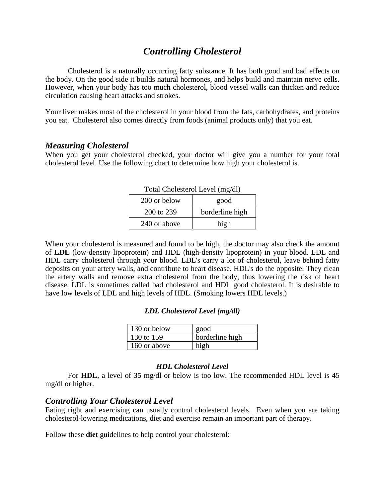# *Controlling Cholesterol*

Cholesterol is a naturally occurring fatty substance. It has both good and bad effects on the body. On the good side it builds natural hormones, and helps build and maintain nerve cells. However, when your body has too much cholesterol, blood vessel walls can thicken and reduce circulation causing heart attacks and strokes.

Your liver makes most of the cholesterol in your blood from the fats, carbohydrates, and proteins you eat. Cholesterol also comes directly from foods (animal products only) that you eat.

### *Measuring Cholesterol*

When you get your cholesterol checked, your doctor will give you a number for your total cholesterol level. Use the following chart to determine how high your cholesterol is.

| Total Cholesterol Level (mg/dl) |                 |
|---------------------------------|-----------------|
| 200 or below                    | good            |
| 200 to 239                      | borderline high |
| 240 or above                    | high            |

When your cholesterol is measured and found to be high, the doctor may also check the amount of **LDL** (low-density lipoprotein) and HDL (high-density lipoprotein) in your blood. LDL and HDL carry cholesterol through your blood. LDL's carry a lot of cholesterol, leave behind fatty deposits on your artery walls, and contribute to heart disease. HDL's do the opposite. They clean the artery walls and remove extra cholesterol from the body, thus lowering the risk of heart disease. LDL is sometimes called bad cholesterol and HDL good cholesterol. It is desirable to have low levels of LDL and high levels of HDL. (Smoking lowers HDL levels.)

#### *LDL Cholesterol Level (mg/dl)*

| 130 or below | good            |
|--------------|-----------------|
| 130 to 159   | borderline high |
| 160 or above | high            |

#### *HDL Cholesterol Level*

 For **HDL**, a level of **35** mg/dl or below is too low. The recommended HDL level is 45 mg/dl or higher.

## *Controlling Your Cholesterol Level*

Eating right and exercising can usually control cholesterol levels. Even when you are taking cholesterol-lowering medications, diet and exercise remain an important part of therapy.

Follow these **diet** guidelines to help control your cholesterol: